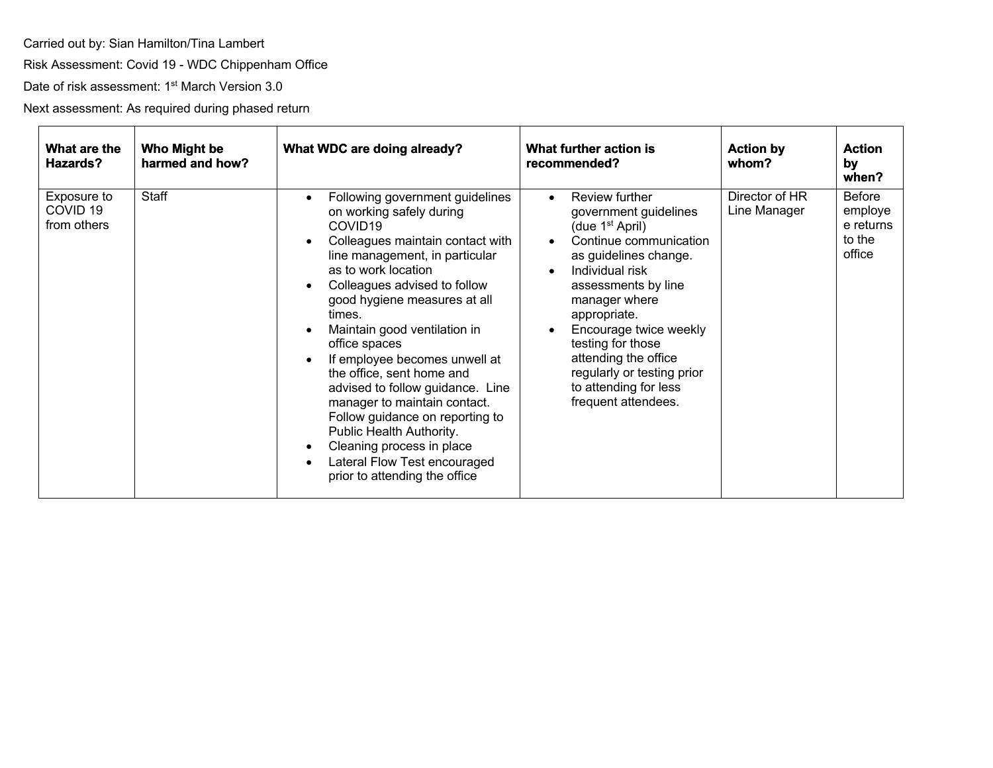Carried out by: Sian Hamilton/Tina Lambert

Risk Assessment: Covid 19 - WDC Chippenham Office

Date of risk assessment: 1<sup>st</sup> March Version 3.0

Next assessment: As required during phased return

| What are the<br>Hazards?                          | Who Might be<br>harmed and how? | What WDC are doing already?                                                                                                                                                                                                                                                                                                                                                                                                                                                                                                                                                                               | What further action is<br>recommended?                                                                                                                                                                                                                                                                                                                                                 | <b>Action by</b><br>whom?      | <b>Action</b><br>by<br>when?                              |
|---------------------------------------------------|---------------------------------|-----------------------------------------------------------------------------------------------------------------------------------------------------------------------------------------------------------------------------------------------------------------------------------------------------------------------------------------------------------------------------------------------------------------------------------------------------------------------------------------------------------------------------------------------------------------------------------------------------------|----------------------------------------------------------------------------------------------------------------------------------------------------------------------------------------------------------------------------------------------------------------------------------------------------------------------------------------------------------------------------------------|--------------------------------|-----------------------------------------------------------|
| Exposure to<br>COVID <sub>19</sub><br>from others | Staff                           | Following government guidelines<br>on working safely during<br>COVID <sub>19</sub><br>Colleagues maintain contact with<br>line management, in particular<br>as to work location<br>Colleagues advised to follow<br>good hygiene measures at all<br>times.<br>Maintain good ventilation in<br>office spaces<br>If employee becomes unwell at<br>the office, sent home and<br>advised to follow guidance. Line<br>manager to maintain contact.<br>Follow guidance on reporting to<br>Public Health Authority.<br>Cleaning process in place<br>Lateral Flow Test encouraged<br>prior to attending the office | Review further<br>$\bullet$<br>government guidelines<br>(due $1st$ April)<br>Continue communication<br>$\bullet$<br>as guidelines change.<br>Individual risk<br>$\bullet$<br>assessments by line<br>manager where<br>appropriate.<br>Encourage twice weekly<br>testing for those<br>attending the office<br>regularly or testing prior<br>to attending for less<br>frequent attendees. | Director of HR<br>Line Manager | <b>Before</b><br>employe<br>e returns<br>to the<br>office |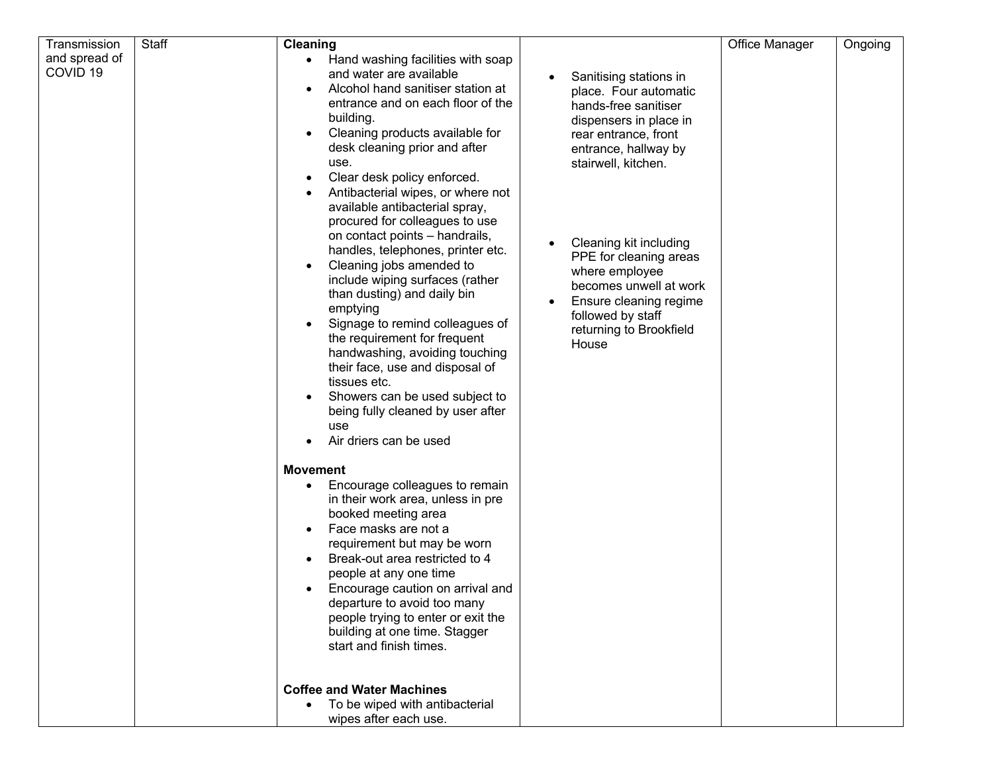| Transmission                         | Staff | <b>Cleaning</b>                                                                                                                                                                                                                                                                                                                                                                                                                                                                                                                                                                                                                                                                                                                                                                                                                                    |                                                                                                                                                                                                                                                                                                                                                             | Office Manager | Ongoing |
|--------------------------------------|-------|----------------------------------------------------------------------------------------------------------------------------------------------------------------------------------------------------------------------------------------------------------------------------------------------------------------------------------------------------------------------------------------------------------------------------------------------------------------------------------------------------------------------------------------------------------------------------------------------------------------------------------------------------------------------------------------------------------------------------------------------------------------------------------------------------------------------------------------------------|-------------------------------------------------------------------------------------------------------------------------------------------------------------------------------------------------------------------------------------------------------------------------------------------------------------------------------------------------------------|----------------|---------|
| and spread of<br>COVID <sub>19</sub> |       | Hand washing facilities with soap<br>$\bullet$<br>and water are available<br>Alcohol hand sanitiser station at<br>entrance and on each floor of the<br>building.<br>Cleaning products available for<br>desk cleaning prior and after<br>use.<br>Clear desk policy enforced.<br>Antibacterial wipes, or where not<br>available antibacterial spray,<br>procured for colleagues to use<br>on contact points - handrails,<br>handles, telephones, printer etc.<br>Cleaning jobs amended to<br>include wiping surfaces (rather<br>than dusting) and daily bin<br>emptying<br>Signage to remind colleagues of<br>the requirement for frequent<br>handwashing, avoiding touching<br>their face, use and disposal of<br>tissues etc.<br>Showers can be used subject to<br>$\bullet$<br>being fully cleaned by user after<br>use<br>Air driers can be used | Sanitising stations in<br>place. Four automatic<br>hands-free sanitiser<br>dispensers in place in<br>rear entrance, front<br>entrance, hallway by<br>stairwell, kitchen.<br>Cleaning kit including<br>PPE for cleaning areas<br>where employee<br>becomes unwell at work<br>Ensure cleaning regime<br>followed by staff<br>returning to Brookfield<br>House |                |         |
|                                      |       | <b>Movement</b>                                                                                                                                                                                                                                                                                                                                                                                                                                                                                                                                                                                                                                                                                                                                                                                                                                    |                                                                                                                                                                                                                                                                                                                                                             |                |         |
|                                      |       | Encourage colleagues to remain<br>in their work area, unless in pre<br>booked meeting area<br>Face masks are not a<br>requirement but may be worn<br>Break-out area restricted to 4<br>people at any one time<br>Encourage caution on arrival and<br>departure to avoid too many<br>people trying to enter or exit the<br>building at one time. Stagger<br>start and finish times.                                                                                                                                                                                                                                                                                                                                                                                                                                                                 |                                                                                                                                                                                                                                                                                                                                                             |                |         |
|                                      |       | <b>Coffee and Water Machines</b><br>To be wiped with antibacterial<br>$\bullet$<br>wipes after each use.                                                                                                                                                                                                                                                                                                                                                                                                                                                                                                                                                                                                                                                                                                                                           |                                                                                                                                                                                                                                                                                                                                                             |                |         |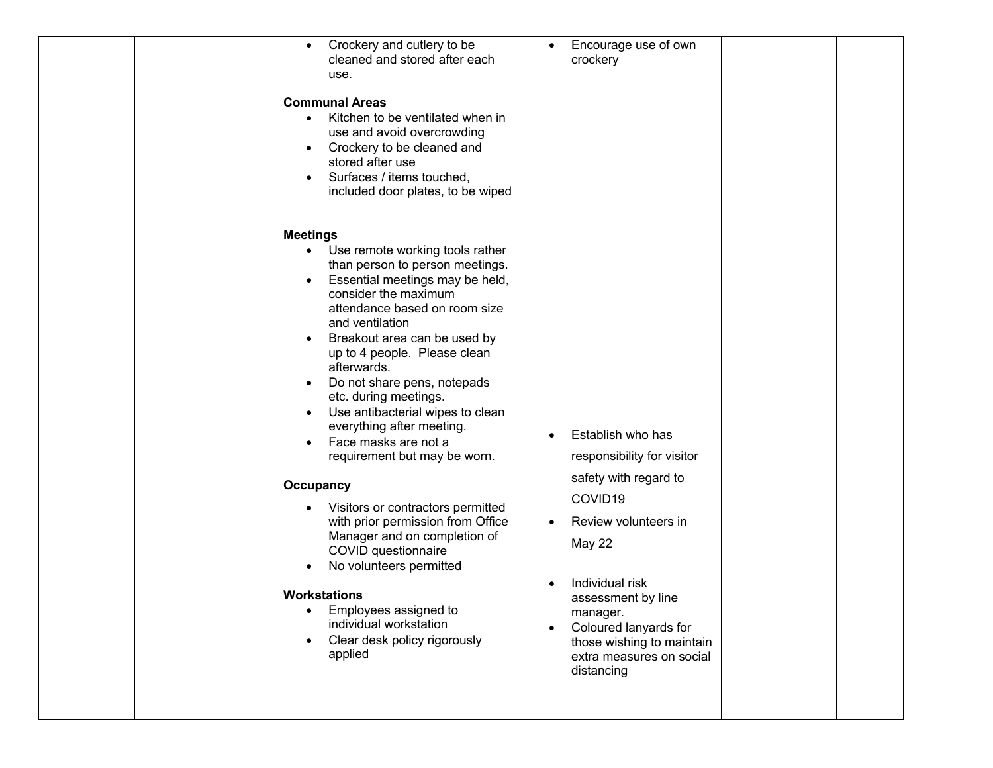| Crockery and cutlery to be<br>$\bullet$<br>cleaned and stored after each<br>use.<br><b>Communal Areas</b><br>Kitchen to be ventilated when in<br>$\bullet$<br>use and avoid overcrowding<br>Crockery to be cleaned and<br>$\bullet$<br>stored after use<br>Surfaces / items touched,<br>$\bullet$<br>included door plates, to be wiped                                                                                                                                                                                                                                                                                                                                                                                                                                                                                                    | Encourage use of own<br>crockery                                                                                                                                                                                                                                           |  |
|-------------------------------------------------------------------------------------------------------------------------------------------------------------------------------------------------------------------------------------------------------------------------------------------------------------------------------------------------------------------------------------------------------------------------------------------------------------------------------------------------------------------------------------------------------------------------------------------------------------------------------------------------------------------------------------------------------------------------------------------------------------------------------------------------------------------------------------------|----------------------------------------------------------------------------------------------------------------------------------------------------------------------------------------------------------------------------------------------------------------------------|--|
| <b>Meetings</b><br>Use remote working tools rather<br>$\bullet$<br>than person to person meetings.<br>Essential meetings may be held,<br>$\bullet$<br>consider the maximum<br>attendance based on room size<br>and ventilation<br>Breakout area can be used by<br>up to 4 people. Please clean<br>afterwards.<br>Do not share pens, notepads<br>$\bullet$<br>etc. during meetings.<br>Use antibacterial wipes to clean<br>$\bullet$<br>everything after meeting.<br>Face masks are not a<br>$\bullet$<br>requirement but may be worn.<br>Occupancy<br>Visitors or contractors permitted<br>with prior permission from Office<br>Manager and on completion of<br>COVID questionnaire<br>No volunteers permitted<br>Workstations<br>Employees assigned to<br>$\bullet$<br>individual workstation<br>Clear desk policy rigorously<br>applied | Establish who has<br>responsibility for visitor<br>safety with regard to<br>COVID19<br>Review volunteers in<br>May 22<br>Individual risk<br>assessment by line<br>manager.<br>Coloured lanyards for<br>those wishing to maintain<br>extra measures on social<br>distancing |  |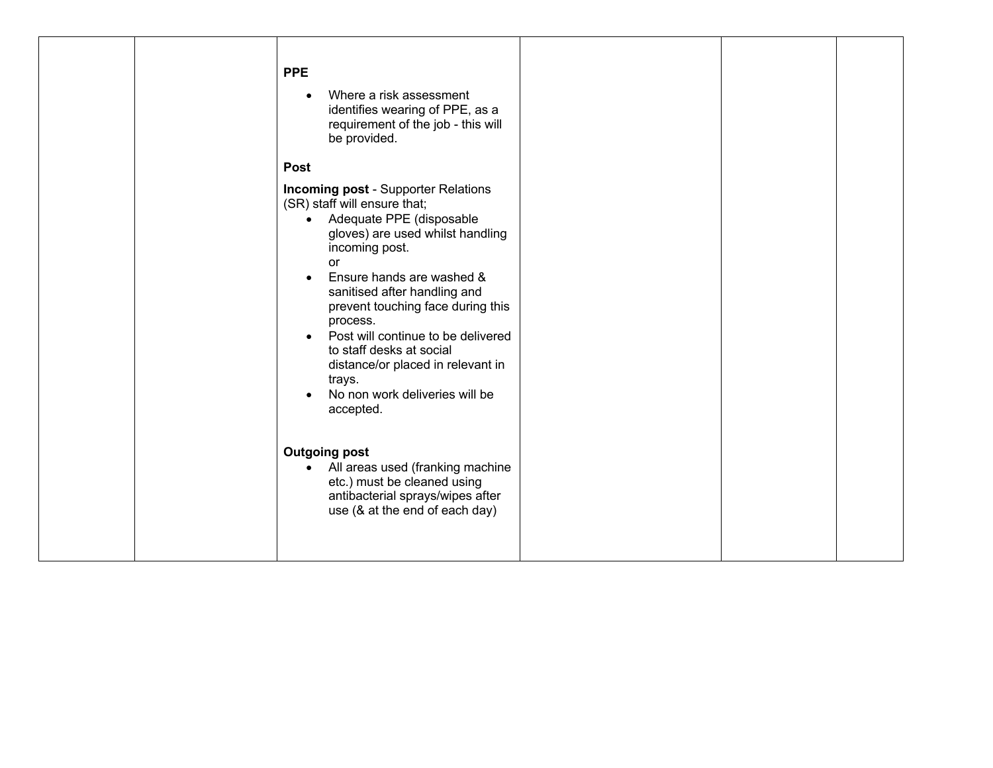|  | <b>PPE</b><br>Where a risk assessment<br>$\bullet$<br>identifies wearing of PPE, as a<br>requirement of the job - this will<br>be provided.<br><b>Post</b>                                                                                                                                                                                                                                                                                                                                                                             |  |  |
|--|----------------------------------------------------------------------------------------------------------------------------------------------------------------------------------------------------------------------------------------------------------------------------------------------------------------------------------------------------------------------------------------------------------------------------------------------------------------------------------------------------------------------------------------|--|--|
|  | <b>Incoming post - Supporter Relations</b><br>(SR) staff will ensure that;<br>Adequate PPE (disposable<br>$\bullet$<br>gloves) are used whilst handling<br>incoming post.<br>or<br>Ensure hands are washed &<br>sanitised after handling and<br>prevent touching face during this<br>process.<br>Post will continue to be delivered<br>to staff desks at social<br>distance/or placed in relevant in<br>trays.<br>No non work deliveries will be<br>accepted.<br><b>Outgoing post</b><br>All areas used (franking machine<br>$\bullet$ |  |  |
|  | etc.) must be cleaned using<br>antibacterial sprays/wipes after<br>use (& at the end of each day)                                                                                                                                                                                                                                                                                                                                                                                                                                      |  |  |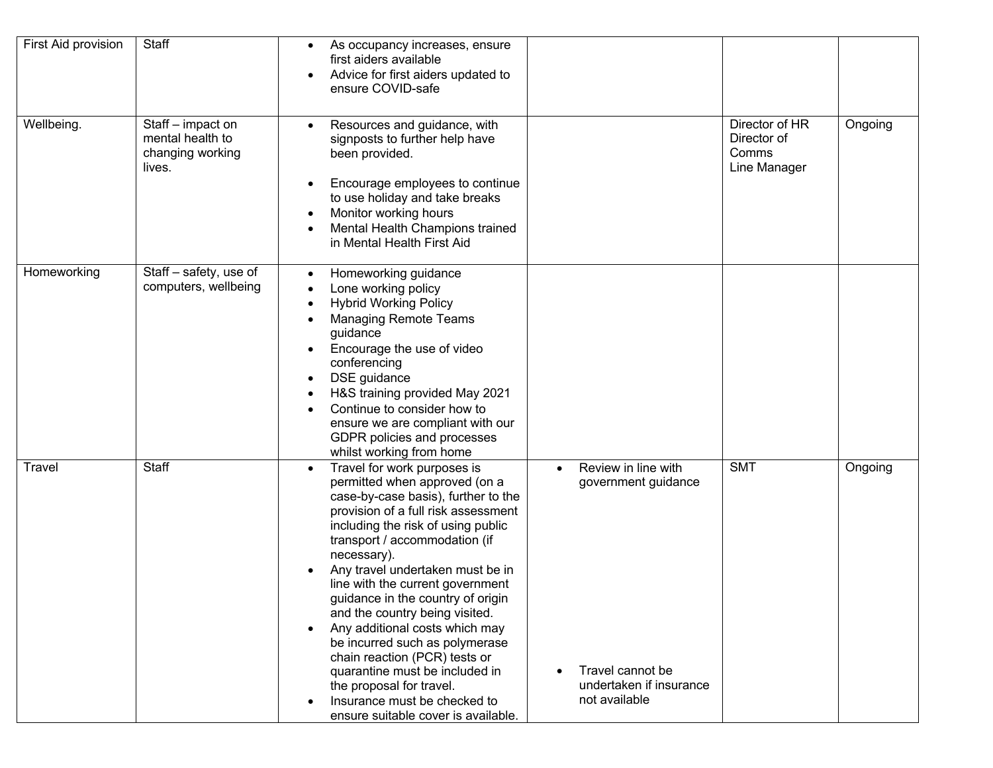| First Aid provision | Staff                                                               | As occupancy increases, ensure<br>$\bullet$<br>first aiders available<br>Advice for first aiders updated to<br>$\bullet$<br>ensure COVID-safe                                                                                                                                                                                                                                                                                                                                                                                                                                                                                                                         |                                                                                                            |                                                        |         |
|---------------------|---------------------------------------------------------------------|-----------------------------------------------------------------------------------------------------------------------------------------------------------------------------------------------------------------------------------------------------------------------------------------------------------------------------------------------------------------------------------------------------------------------------------------------------------------------------------------------------------------------------------------------------------------------------------------------------------------------------------------------------------------------|------------------------------------------------------------------------------------------------------------|--------------------------------------------------------|---------|
| Wellbeing.          | Staff - impact on<br>mental health to<br>changing working<br>lives. | Resources and guidance, with<br>$\bullet$<br>signposts to further help have<br>been provided.<br>Encourage employees to continue<br>to use holiday and take breaks<br>Monitor working hours<br>Mental Health Champions trained<br>in Mental Health First Aid                                                                                                                                                                                                                                                                                                                                                                                                          |                                                                                                            | Director of HR<br>Director of<br>Comms<br>Line Manager | Ongoing |
| Homeworking         | Staff - safety, use of<br>computers, wellbeing                      | Homeworking guidance<br>$\bullet$<br>Lone working policy<br>$\bullet$<br><b>Hybrid Working Policy</b><br><b>Managing Remote Teams</b><br>guidance<br>Encourage the use of video<br>conferencing<br>DSE guidance<br>H&S training provided May 2021<br>Continue to consider how to<br>ensure we are compliant with our<br>GDPR policies and processes<br>whilst working from home                                                                                                                                                                                                                                                                                       |                                                                                                            |                                                        |         |
| Travel              | Staff                                                               | Travel for work purposes is<br>$\bullet$<br>permitted when approved (on a<br>case-by-case basis), further to the<br>provision of a full risk assessment<br>including the risk of using public<br>transport / accommodation (if<br>necessary).<br>Any travel undertaken must be in<br>٠<br>line with the current government<br>guidance in the country of origin<br>and the country being visited.<br>Any additional costs which may<br>$\bullet$<br>be incurred such as polymerase<br>chain reaction (PCR) tests or<br>quarantine must be included in<br>the proposal for travel.<br>Insurance must be checked to<br>$\bullet$<br>ensure suitable cover is available. | Review in line with<br>government guidance<br>Travel cannot be<br>undertaken if insurance<br>not available | <b>SMT</b>                                             | Ongoing |